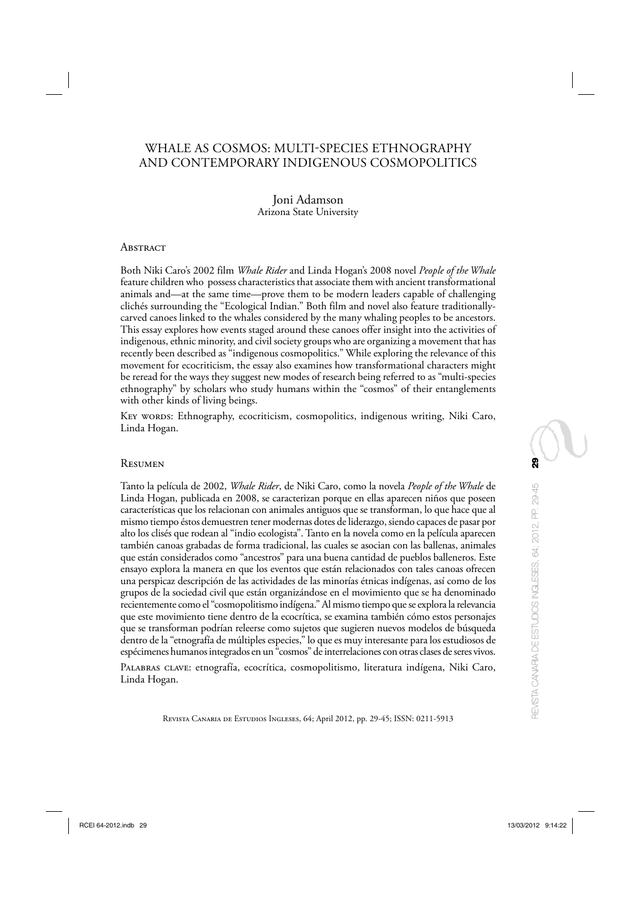## WHALE AS COSMOS: MULTI-SPECIES ETHNOGRAPHY AND CONTEMPORARY INDIGENOUS COSMOPOLITICS

## Joni Adamson Arizona State University

#### **ABSTRACT**

Both Niki Caro's 2002 film *Whale Rider* and Linda Hogan's 2008 novel *People of the Whale*  feature children who possess characteristics that associate them with ancient transformational animals and—at the same time—prove them to be modern leaders capable of challenging clichés surrounding the "Ecological Indian." Both film and novel also feature traditionallycarved canoes linked to the whales considered by the many whaling peoples to be ancestors. This essay explores how events staged around these canoes offer insight into the activities of indigenous, ethnic minority, and civil society groups who are organizing a movement that has recently been described as "indigenous cosmopolitics." While exploring the relevance of this movement for ecocriticism, the essay also examines how transformational characters might be reread for the ways they suggest new modes of research being referred to as "multi-species ethnography" by scholars who study humans within the "cosmos" of their entanglements with other kinds of living beings.

Key words: Ethnography, ecocriticism, cosmopolitics, indigenous writing, Niki Caro, Linda Hogan.

#### Resumen

Tanto la película de 2002, *Whale Rider*, de Niki Caro, como la novela *People of the Whale* de Linda Hogan, publicada en 2008, se caracterizan porque en ellas aparecen niños que poseen características que los relacionan con animales antiguos que se transforman, lo que hace que al mismo tiempo éstos demuestren tener modernas dotes de liderazgo, siendo capaces de pasar por alto los clisés que rodean al "indio ecologista". Tanto en la novela como en la película aparecen también canoas grabadas de forma tradicional, las cuales se asocian con las ballenas, animales que están considerados como "ancestros" para una buena cantidad de pueblos balleneros. Este ensayo explora la manera en que los eventos que están relacionados con tales canoas ofrecen una perspicaz descripción de las actividades de las minorías étnicas indígenas, así como de los grupos de la sociedad civil que están organizándose en el movimiento que se ha denominado recientemente como el "cosmopolitismo indígena." Al mismo tiempo que se explora la relevancia que este movimiento tiene dentro de la ecocrítica, se examina también cómo estos personajes que se transforman podrían releerse como sujetos que sugieren nuevos modelos de búsqueda dentro de la "etnografía de múltiples especies," lo que es muy interesante para los estudiosos de espécimenes humanos integrados en un "cosmos" de interrelaciones con otras clases de seres vivos.

Palabras clave: etnografía, ecocrítica, cosmopolitismo, literatura indígena, Niki Caro, Linda Hogan.

Revista Canaria de Estudios Ingleses, 64; April 2012, pp. 29-45; ISSN: 0211-5913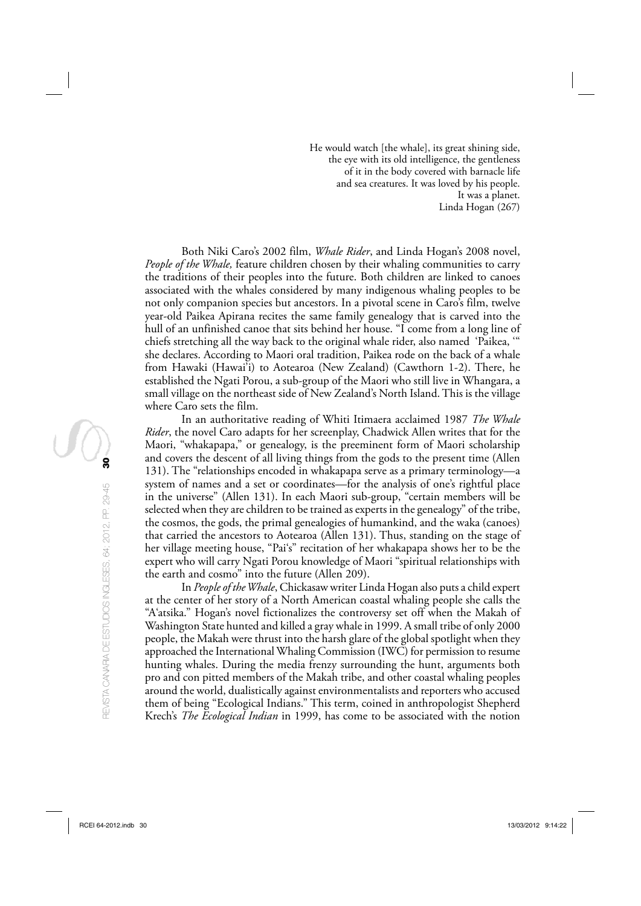He would watch [the whale], its great shining side, the eye with its old intelligence, the gentleness of it in the body covered with barnacle life and sea creatures. It was loved by his people. It was a planet. Linda Hogan (267)

Both Niki Caro's 2002 film, *Whale Rider*, and Linda Hogan's 2008 novel, *People of the Whale,* feature children chosen by their whaling communities to carry the traditions of their peoples into the future. Both children are linked to canoes associated with the whales considered by many indigenous whaling peoples to be not only companion species but ancestors. In a pivotal scene in Caro's film, twelve year-old Paikea Apirana recites the same family genealogy that is carved into the hull of an unfinished canoe that sits behind her house. "I come from a long line of chiefs stretching all the way back to the original whale rider, also named 'Paikea, '" she declares. According to Maori oral tradition, Paikea rode on the back of a whale from Hawaki (Hawai'i) to Aotearoa (New Zealand) (Cawthorn 1-2). There, he established the Ngati Porou, a sub-group of the Maori who still live in Whangara, a small village on the northeast side of New Zealand's North Island. This is the village where Caro sets the film.

In an authoritative reading of Whiti Itimaera acclaimed 1987 *The Whale Rider*, the novel Caro adapts for her screenplay, Chadwick Allen writes that for the Maori, "whakapapa," or genealogy, is the preeminent form of Maori scholarship and covers the descent of all living things from the gods to the present time (Allen 131). The "relationships encoded in whakapapa serve as a primary terminology—a system of names and a set or coordinates—for the analysis of one's rightful place in the universe" (Allen 131). In each Maori sub-group, "certain members will be selected when they are children to be trained as experts in the genealogy" of the tribe, the cosmos, the gods, the primal genealogies of humankind, and the waka (canoes) that carried the ancestors to Aotearoa (Allen 131). Thus, standing on the stage of her village meeting house, "Pai's" recitation of her whakapapa shows her to be the expert who will carry Ngati Porou knowledge of Maori "spiritual relationships with the earth and cosmo" into the future (Allen 209).

In *People of the Whale*, Chickasaw writer Linda Hogan also puts a child expert at the center of her story of a North American coastal whaling people she calls the "A'atsika." Hogan's novel fictionalizes the controversy set off when the Makah of Washington State hunted and killed a gray whale in 1999. A small tribe of only 2000 people, the Makah were thrust into the harsh glare of the global spotlight when they approached the International Whaling Commission (IWC) for permission to resume hunting whales. During the media frenzy surrounding the hunt, arguments both pro and con pitted members of the Makah tribe, and other coastal whaling peoples around the world, dualistically against environmentalists and reporters who accused them of being "Ecological Indians." This term, coined in anthropologist Shepherd Krech's *The Ecological Indian* in 1999, has come to be associated with the notion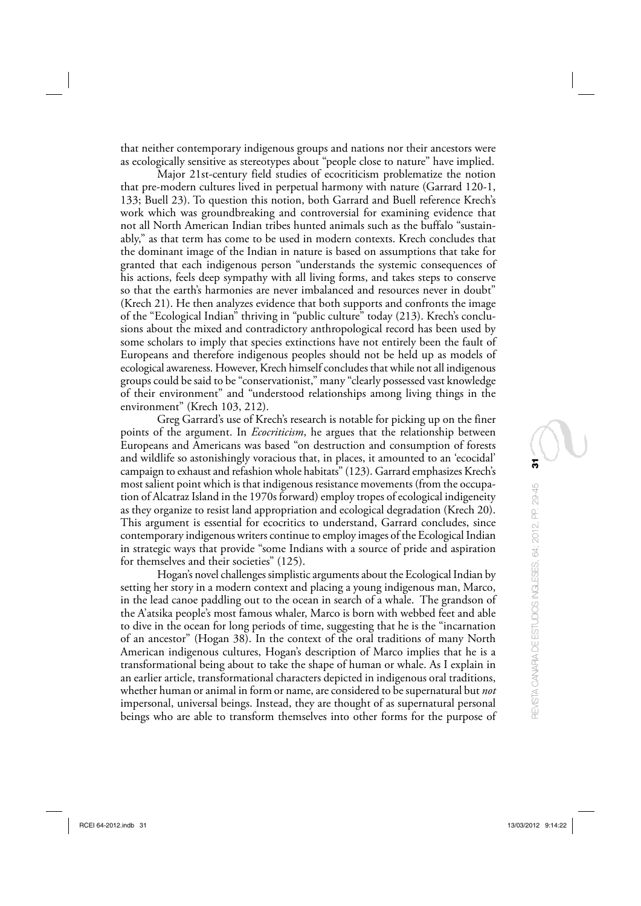that neither contemporary indigenous groups and nations nor their ancestors were as ecologically sensitive as stereotypes about "people close to nature" have implied.

Major 21st-century field studies of ecocriticism problematize the notion that pre-modern cultures lived in perpetual harmony with nature (Garrard 120-1, 133; Buell 23). To question this notion, both Garrard and Buell reference Krech's work which was groundbreaking and controversial for examining evidence that not all North American Indian tribes hunted animals such as the buffalo "sustainably," as that term has come to be used in modern contexts. Krech concludes that the dominant image of the Indian in nature is based on assumptions that take for granted that each indigenous person "understands the systemic consequences of his actions, feels deep sympathy with all living forms, and takes steps to conserve so that the earth's harmonies are never imbalanced and resources never in doubt" (Krech 21). He then analyzes evidence that both supports and confronts the image of the "Ecological Indian" thriving in "public culture" today (213). Krech's conclusions about the mixed and contradictory anthropological record has been used by some scholars to imply that species extinctions have not entirely been the fault of Europeans and therefore indigenous peoples should not be held up as models of ecological awareness. However, Krech himself concludes that while not all indigenous groups could be said to be "conservationist," many "clearly possessed vast knowledge of their environment" and "understood relationships among living things in the environment" (Krech 103, 212).

Greg Garrard's use of Krech's research is notable for picking up on the finer points of the argument. In *Ecocriticism*, he argues that the relationship between Europeans and Americans was based "on destruction and consumption of forests and wildlife so astonishingly voracious that, in places, it amounted to an 'ecocidal' campaign to exhaust and refashion whole habitats" (123). Garrard emphasizes Krech's most salient point which is that indigenous resistance movements (from the occupation of Alcatraz Island in the 1970s forward) employ tropes of ecological indigeneity as they organize to resist land appropriation and ecological degradation (Krech 20). This argument is essential for ecocritics to understand, Garrard concludes, since contemporary indigenous writers continue to employ images of the Ecological Indian in strategic ways that provide "some Indians with a source of pride and aspiration for themselves and their societies" (125).

Hogan's novel challenges simplistic arguments about the Ecological Indian by setting her story in a modern context and placing a young indigenous man, Marco, in the lead canoe paddling out to the ocean in search of a whale. The grandson of the A'atsika people's most famous whaler, Marco is born with webbed feet and able to dive in the ocean for long periods of time, suggesting that he is the "incarnation of an ancestor" (Hogan 38). In the context of the oral traditions of many North American indigenous cultures, Hogan's description of Marco implies that he is a transformational being about to take the shape of human or whale. As I explain in an earlier article, transformational characters depicted in indigenous oral traditions, whether human or animal in form or name, are considered to be supernatural but *not* impersonal, universal beings. Instead, they are thought of as supernatural personal beings who are able to transform themselves into other forms for the purpose of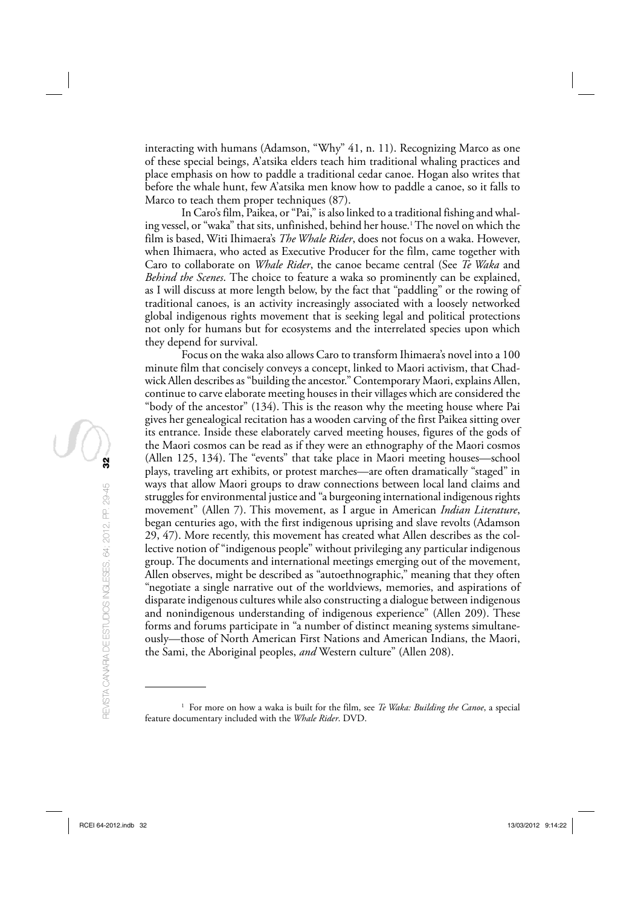interacting with humans (Adamson, "Why" 41, n. 11). Recognizing Marco as one of these special beings, A'atsika elders teach him traditional whaling practices and place emphasis on how to paddle a traditional cedar canoe. Hogan also writes that before the whale hunt, few A'atsika men know how to paddle a canoe, so it falls to Marco to teach them proper techniques (87).

In Caro's film, Paikea, or "Pai," is also linked to a traditional fishing and whaling vessel, or "waka" that sits, unfinished, behind her house.1 The novel on which the film is based, Witi Ihimaera's *The Whale Rider*, does not focus on a waka. However, when Ihimaera, who acted as Executive Producer for the film, came together with Caro to collaborate on *Whale Rider*, the canoe became central (See *Te Waka* and *Behind the Scenes* . The choice to feature a waka so prominently can be explained, as I will discuss at more length below, by the fact that "paddling" or the rowing of traditional canoes, is an activity increasingly associated with a loosely networked global indigenous rights movement that is seeking legal and political protections not only for humans but for ecosystems and the interrelated species upon which they depend for survival.

Focus on the waka also allows Caro to transform Ihimaera's novel into a 100 minute film that concisely conveys a concept, linked to Maori activism, that Chadwick Allen describes as "building the ancestor." Contemporary Maori, explains Allen, continue to carve elaborate meeting houses in their villages which are considered the "body of the ancestor" (134). This is the reason why the meeting house where Pai gives her genealogical recitation has a wooden carving of the first Paikea sitting over its entrance. Inside these elaborately carved meeting houses, figures of the gods of the Maori cosmos can be read as if they were an ethnography of the Maori cosmos (Allen 125, 134). The "events" that take place in Maori meeting houses—school plays, traveling art exhibits, or protest marches—are often dramatically "staged" in ways that allow Maori groups to draw connections between local land claims and struggles for environmental justice and "a burgeoning international indigenous rights movement" (Allen 7). This movement, as I argue in American *Indian Literature*, began centuries ago, with the first indigenous uprising and slave revolts (Adamson 29, 47). More recently, this movement has created what Allen describes as the collective notion of "indigenous people" without privileging any particular indigenous group. The documents and international meetings emerging out of the movement, Allen observes, might be described as "autoethnographic," meaning that they often "negotiate a single narrative out of the worldviews, memories, and aspirations of disparate indigenous cultures while also constructing a dialogue between indigenous and nonindigenous understanding of indigenous experience" (Allen 209). These forms and forums participate in "a number of distinct meaning systems simultaneously—those of North American First Nations and American Indians, the Maori, the Sami, the Aboriginal peoples, *and* Western culture" (Allen 208).

<sup>&</sup>lt;sup>1</sup> For more on how a waka is built for the film, see *Te Waka: Building the Canoe*, a special feature documentary included with the *Whale Rider*. DVD.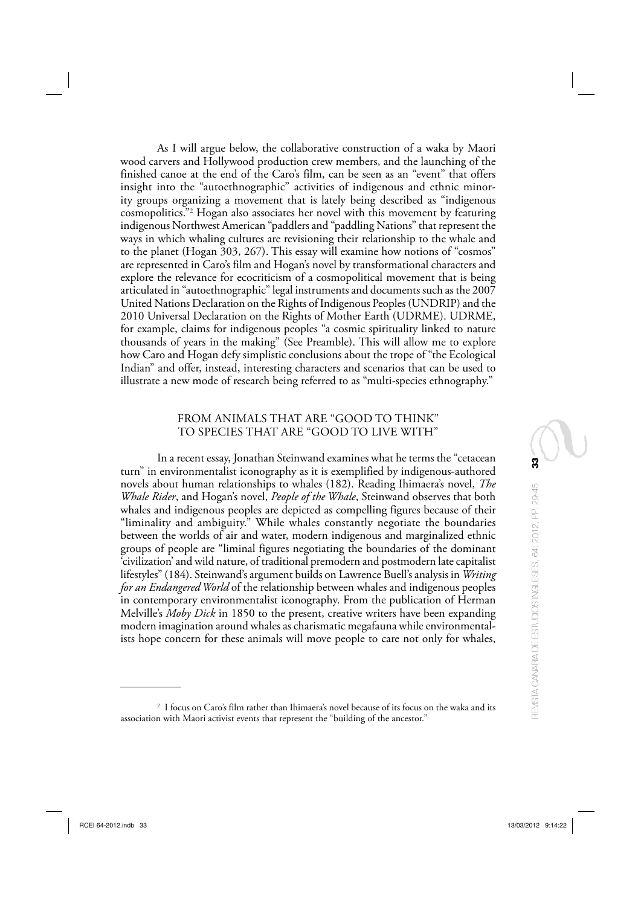As I will argue below, the collaborative construction of a waka by Maori wood carvers and Hollywood production crew members, and the launching of the finished canoe at the end of the Caro's film, can be seen as an "event" that offers insight into the "autoethnographic" activities of indigenous and ethnic minority groups organizing a movement that is lately being described as "indigenous cosmopolitics."2 Hogan also associates her novel with this movement by featuring indigenous Northwest American "paddlers and "paddling Nations" that represent the ways in which whaling cultures are revisioning their relationship to the whale and to the planet (Hogan 303, 267). This essay will examine how notions of "cosmos" are represented in Caro's film and Hogan's novel by transformational characters and explore the relevance for ecocriticism of a cosmopolitical movement that is being articulated in "autoethnographic" legal instruments and documents such as the 2007 United Nations Declaration on the Rights of Indigenous Peoples (UNDRIP) and the 2010 Universal Declaration on the Rights of Mother Earth (UDRME). UDRME, for example, claims for indigenous peoples "a cosmic spirituality linked to nature thousands of years in the making" (See Preamble). This will allow me to explore how Caro and Hogan defy simplistic conclusions about the trope of "the Ecological Indian" and offer, instead, interesting characters and scenarios that can be used to illustrate a new mode of research being referred to as "multi-species ethnography."

## FROM ANIMALS THAT ARE "GOOD TO THINK" TO SPECIES THAT ARE "GOOD TO LIVE WITH"

In a recent essay, Jonathan Steinwand examines what he terms the "cetacean turn" in environmentalist iconography as it is exemplified by indigenous-authored novels about human relationships to whales (182). Reading Ihimaera's novel, *The Whale Rider*, and Hogan's novel, *People of the Whale*, Steinwand observes that both whales and indigenous peoples are depicted as compelling figures because of their "liminality and ambiguity." While whales constantly negotiate the boundaries between the worlds of air and water, modern indigenous and marginalized ethnic groups of people are "liminal figures negotiating the boundaries of the dominant 'civilization' and wild nature, of traditional premodern and postmodern late capitalist lifestyles" (184). Steinwand's argument builds on Lawrence Buell's analysis in *Writing for an Endangered World* of the relationship between whales and indigenous peoples in contemporary environmentalist iconography. From the publication of Herman Melville's *Moby Dick* in 1850 to the present, creative writers have been expanding modern imagination around whales as charismatic megafauna while environmentalists hope concern for these animals will move people to care not only for whales,

<sup>2</sup> I focus on Caro's film rather than Ihimaera's novel because of its focus on the waka and its association with Maori activist events that represent the "building of the ancestor."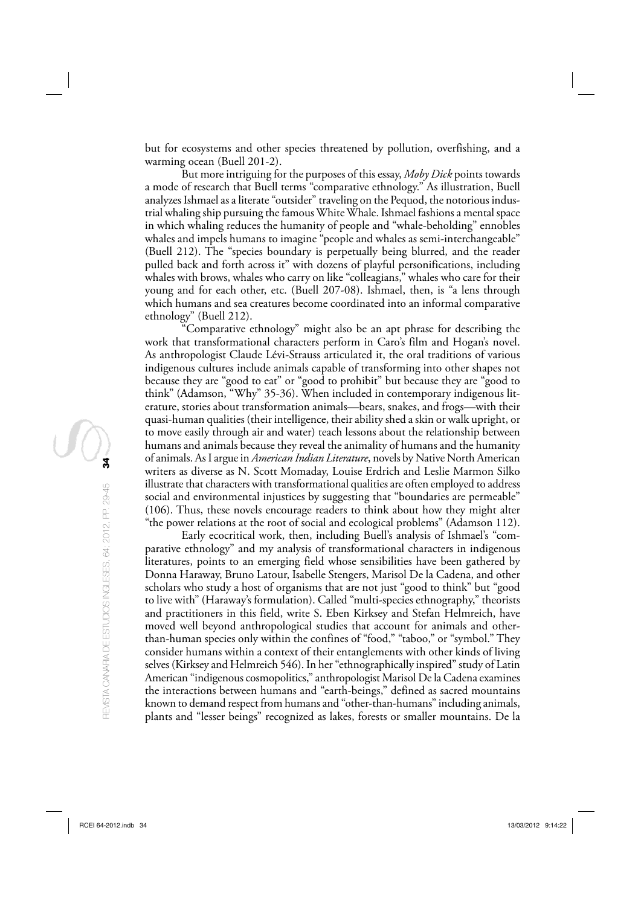but for ecosystems and other species threatened by pollution, overfishing, and a warming ocean (Buell 201-2).

But more intriguing for the purposes of this essay, *Moby Dick* points towards a mode of research that Buell terms "comparative ethnology." As illustration, Buell analyzes Ishmael as a literate "outsider" traveling on the Pequod, the notorious industrial whaling ship pursuing the famous White Whale. Ishmael fashions a mental space in which whaling reduces the humanity of people and "whale-beholding" ennobles whales and impels humans to imagine "people and whales as semi-interchangeable" (Buell 212). The "species boundary is perpetually being blurred, and the reader pulled back and forth across it" with dozens of playful personifications, including whales with brows, whales who carry on like "colleagians," whales who care for their young and for each other, etc. (Buell 207-08). Ishmael, then, is "a lens through which humans and sea creatures become coordinated into an informal comparative ethnology" (Buell 212).

"Comparative ethnology" might also be an apt phrase for describing the work that transformational characters perform in Caro's film and Hogan's novel. As anthropologist Claude Lévi-Strauss articulated it, the oral traditions of various indigenous cultures include animals capable of transforming into other shapes not because they are "good to eat" or "good to prohibit" but because they are "good to think" (Adamson, "Why" 35-36). When included in contemporary indigenous literature, stories about transformation animals—bears, snakes, and frogs—with their quasi-human qualities (their intelligence, their ability shed a skin or walk upright, or to move easily through air and water) teach lessons about the relationship between humans and animals because they reveal the animality of humans and the humanity of animals. As I argue in *American Indian Literature*, novels by Native North American writers as diverse as N. Scott Momaday, Louise Erdrich and Leslie Marmon Silko illustrate that characters with transformational qualities are often employed to address social and environmental injustices by suggesting that "boundaries are permeable" (106). Thus, these novels encourage readers to think about how they might alter "the power relations at the root of social and ecological problems" (Adamson 112).

Early ecocritical work, then, including Buell's analysis of Ishmael's "comparative ethnology" and my analysis of transformational characters in indigenous literatures, points to an emerging field whose sensibilities have been gathered by Donna Haraway, Bruno Latour, Isabelle Stengers, Marisol De la Cadena, and other scholars who study a host of organisms that are not just "good to think" but "good to live with" (Haraway's formulation). Called "multi-species ethnography," theorists and practitioners in this field, write S. Eben Kirksey and Stefan Helmreich, have moved well beyond anthropological studies that account for animals and otherthan-human species only within the confines of "food," "taboo," or "symbol." They consider humans within a context of their entanglements with other kinds of living selves (Kirksey and Helmreich 546). In her "ethnographically inspired" study of Latin American "indigenous cosmopolitics," anthropologist Marisol De la Cadena examines the interactions between humans and "earth-beings," defined as sacred mountains known to demand respect from humans and "other-than-humans" including animals, plants and "lesser beings" recognized as lakes, forests or smaller mountains. De la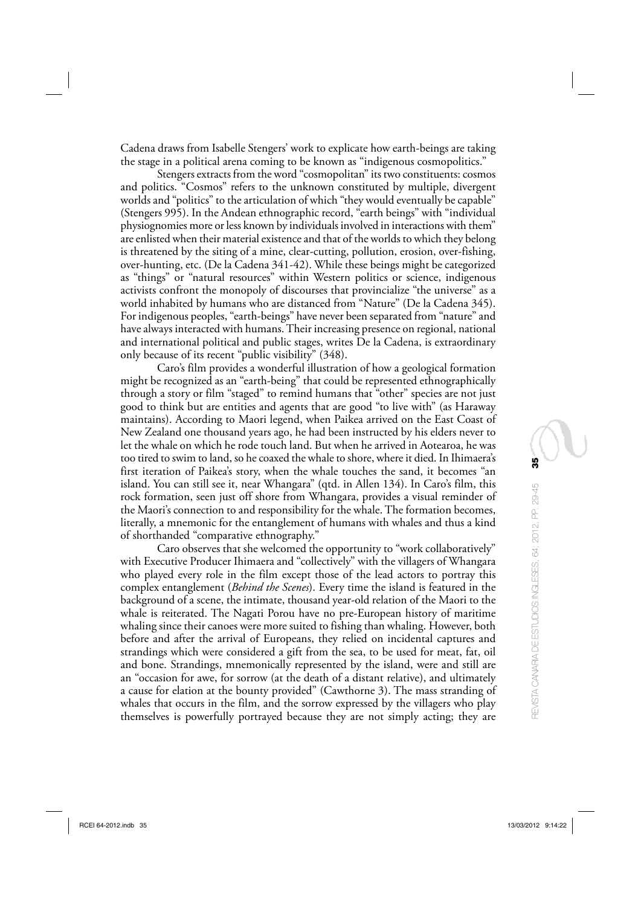Cadena draws from Isabelle Stengers' work to explicate how earth-beings are taking the stage in a political arena coming to be known as "indigenous cosmopolitics."

Stengers extracts from the word "cosmopolitan" its two constituents: cosmos and politics. "Cosmos" refers to the unknown constituted by multiple, divergent worlds and "politics" to the articulation of which "they would eventually be capable" (Stengers 995). In the Andean ethnographic record, "earth beings" with "individual physiognomies more or less known by individuals involved in interactions with them" are enlisted when their material existence and that of the worlds to which they belong is threatened by the siting of a mine, clear-cutting, pollution, erosion, over-fishing, over-hunting, etc. (De la Cadena 341-42). While these beings might be categorized as "things" or "natural resources" within Western politics or science, indigenous activists confront the monopoly of discourses that provincialize "the universe" as a world inhabited by humans who are distanced from "Nature" (De la Cadena 345). For indigenous peoples, "earth-beings" have never been separated from "nature" and have always interacted with humans. Their increasing presence on regional, national and international political and public stages, writes De la Cadena, is extraordinary only because of its recent "public visibility" (348).

Caro's film provides a wonderful illustration of how a geological formation might be recognized as an "earth-being" that could be represented ethnographically through a story or film "staged" to remind humans that "other" species are not just good to think but are entities and agents that are good "to live with" (as Haraway maintains). According to Maori legend, when Paikea arrived on the East Coast of New Zealand one thousand years ago, he had been instructed by his elders never to let the whale on which he rode touch land. But when he arrived in Aotearoa, he was too tired to swim to land, so he coaxed the whale to shore, where it died. In Ihimaera's first iteration of Paikea's story, when the whale touches the sand, it becomes "an island. You can still see it, near Whangara" (qtd. in Allen 134). In Caro's film, this rock formation, seen just off shore from Whangara, provides a visual reminder of the Maori's connection to and responsibility for the whale. The formation becomes, literally, a mnemonic for the entanglement of humans with whales and thus a kind of shorthanded "comparative ethnography."

Caro observes that she welcomed the opportunity to "work collaboratively" with Executive Producer Ihimaera and "collectively" with the villagers of Whangara who played every role in the film except those of the lead actors to portray this complex entanglement (*Behind the Scenes*). Every time the island is featured in the background of a scene, the intimate, thousand year-old relation of the Maori to the whale is reiterated. The Nagati Porou have no pre-European history of maritime whaling since their canoes were more suited to fishing than whaling. However, both before and after the arrival of Europeans, they relied on incidental captures and strandings which were considered a gift from the sea, to be used for meat, fat, oil and bone. Strandings, mnemonically represented by the island, were and still are an "occasion for awe, for sorrow (at the death of a distant relative), and ultimately a cause for elation at the bounty provided" (Cawthorne 3). The mass stranding of whales that occurs in the film, and the sorrow expressed by the villagers who play themselves is powerfully portrayed because they are not simply acting; they are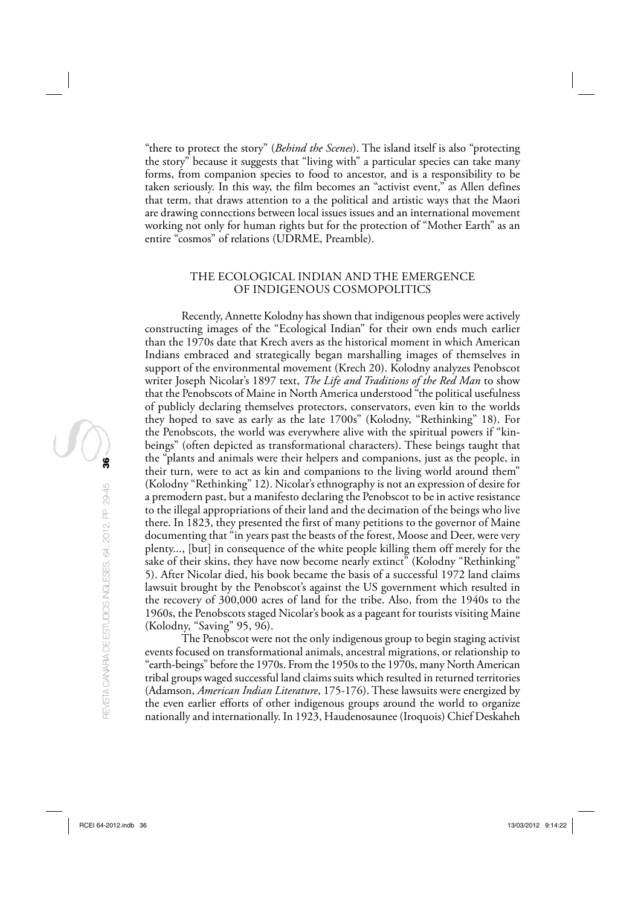"there to protect the story" (*Behind the Scenes*). The island itself is also "protecting the story" because it suggests that "living with" a particular species can take many forms, from companion species to food to ancestor, and is a responsibility to be taken seriously. In this way, the film becomes an "activist event," as Allen defines that term, that draws attention to a the political and artistic ways that the Maori are drawing connections between local issues issues and an international movement working not only for human rights but for the protection of "Mother Earth" as an entire "cosmos" of relations (UDRME, Preamble).

## THE ECOLOGICAL INDIAN AND THE EMERGENCE OF INDIGENOUS COSMOPOLITICS

Recently, Annette Kolodny has shown that indigenous peoples were actively constructing images of the "Ecological Indian" for their own ends much earlier than the 1970s date that Krech avers as the historical moment in which American Indians embraced and strategically began marshalling images of themselves in support of the environmental movement (Krech 20). Kolodny analyzes Penobscot writer Joseph Nicolar's 1897 text, *The Life and Traditions of the Red Man* to show that the Penobscots of Maine in North America understood "the political usefulness of publicly declaring themselves protectors, conservators, even kin to the worlds they hoped to save as early as the late 1700s" (Kolodny, "Rethinking" 18). For the Penobscots, the world was everywhere alive with the spiritual powers if "kinbeings" (often depicted as transformational characters). These beings taught that the "plants and animals were their helpers and companions, just as the people, in their turn, were to act as kin and companions to the living world around them" (Kolodny "Rethinking" 12). Nicolar's ethnography is not an expression of desire for a premodern past, but a manifesto declaring the Penobscot to be in active resistance to the illegal appropriations of their land and the decimation of the beings who live there. In 1823, they presented the first of many petitions to the governor of Maine documenting that "in years past the beasts of the forest, Moose and Deer, were very plenty..., [but] in consequence of the white people killing them off merely for the sake of their skins, they have now become nearly extinct" (Kolodny "Rethinking" 5). After Nicolar died, his book became the basis of a successful 1972 land claims lawsuit brought by the Penobscot's against the US government which resulted in the recovery of 300,000 acres of land for the tribe. Also, from the 1940s to the 1960s, the Penobscots staged Nicolar's book as a pageant for tourists visiting Maine (Kolodny, "Saving" 95, 96).

The Penobscot were not the only indigenous group to begin staging activist events focused on transformational animals, ancestral migrations, or relationship to "earth-beings" before the 1970s. From the 1950s to the 1970s, many North American tribal groups waged successful land claims suits which resulted in returned territories (Adamson, *American Indian Literature*, 175-176). These lawsuits were energized by the even earlier efforts of other indigenous groups around the world to organize nationally and internationally. In 1923, Haudenosaunee (Iroquois) Chief Deskaheh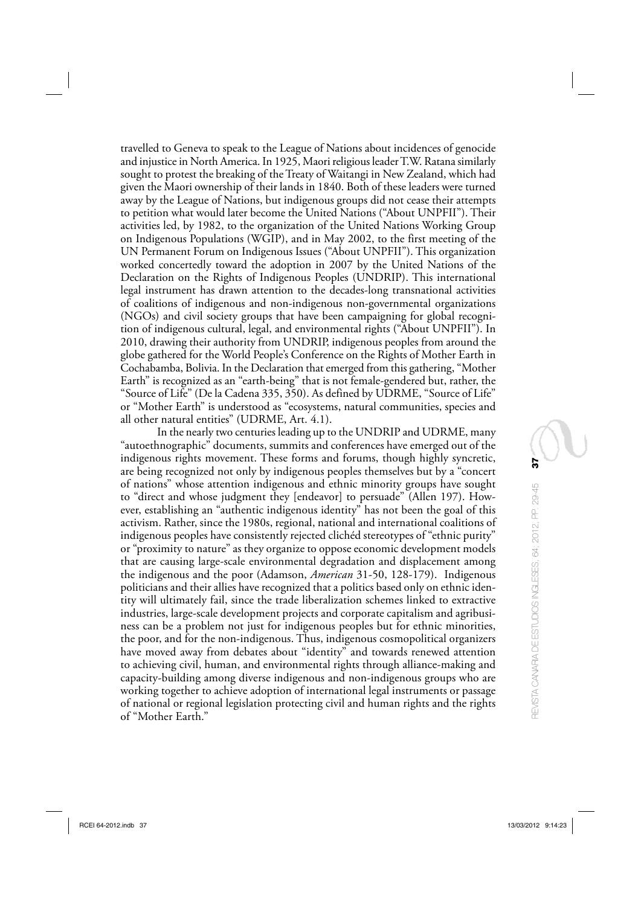travelled to Geneva to speak to the League of Nations about incidences of genocide and injustice in North America. In 1925, Maori religious leader T.W. Ratana similarly sought to protest the breaking of the Treaty of Waitangi in New Zealand, which had given the Maori ownership of their lands in 1840. Both of these leaders were turned away by the League of Nations, but indigenous groups did not cease their attempts to petition what would later become the United Nations ("About UNPFII"). Their activities led, by 1982, to the organization of the United Nations Working Group on Indigenous Populations (WGIP), and in May 2002, to the first meeting of the UN Permanent Forum on Indigenous Issues ("About UNPFII"). This organization worked concertedly toward the adoption in 2007 by the United Nations of the Declaration on the Rights of Indigenous Peoples (UNDRIP). This international legal instrument has drawn attention to the decades-long transnational activities of coalitions of indigenous and non-indigenous non-governmental organizations (NGOs) and civil society groups that have been campaigning for global recognition of indigenous cultural, legal, and environmental rights ("About UNPFII"). In 2010, drawing their authority from UNDRIP, indigenous peoples from around the globe gathered for the World People's Conference on the Rights of Mother Earth in Cochabamba, Bolivia. In the Declaration that emerged from this gathering, "Mother Earth" is recognized as an "earth-being" that is not female-gendered but, rather, the "Source of Life" (De la Cadena 335, 350). As defined by UDRME, "Source of Life" or "Mother Earth" is understood as "ecosystems, natural communities, species and all other natural entities" (UDRME, Art. 4.1).

In the nearly two centuries leading up to the UNDRIP and UDRME, many "autoethnographic" documents, summits and conferences have emerged out of the indigenous rights movement. These forms and forums, though highly syncretic, are being recognized not only by indigenous peoples themselves but by a "concert of nations" whose attention indigenous and ethnic minority groups have sought to "direct and whose judgment they [endeavor] to persuade" (Allen 197). However, establishing an "authentic indigenous identity" has not been the goal of this activism. Rather, since the 1980s, regional, national and international coalitions of indigenous peoples have consistently rejected clichéd stereotypes of "ethnic purity" or "proximity to nature" as they organize to oppose economic development models that are causing large-scale environmental degradation and displacement among the indigenous and the poor (Adamson, *American* 31-50, 128-179). Indigenous politicians and their allies have recognized that a politics based only on ethnic identity will ultimately fail, since the trade liberalization schemes linked to extractive industries, large-scale development projects and corporate capitalism and agribusiness can be a problem not just for indigenous peoples but for ethnic minorities, the poor, and for the non-indigenous. Thus, indigenous cosmopolitical organizers have moved away from debates about "identity" and towards renewed attention to achieving civil, human, and environmental rights through alliance-making and capacity-building among diverse indigenous and non-indigenous groups who are working together to achieve adoption of international legal instruments or passage of national or regional legislation protecting civil and human rights and the rights of "Mother Earth."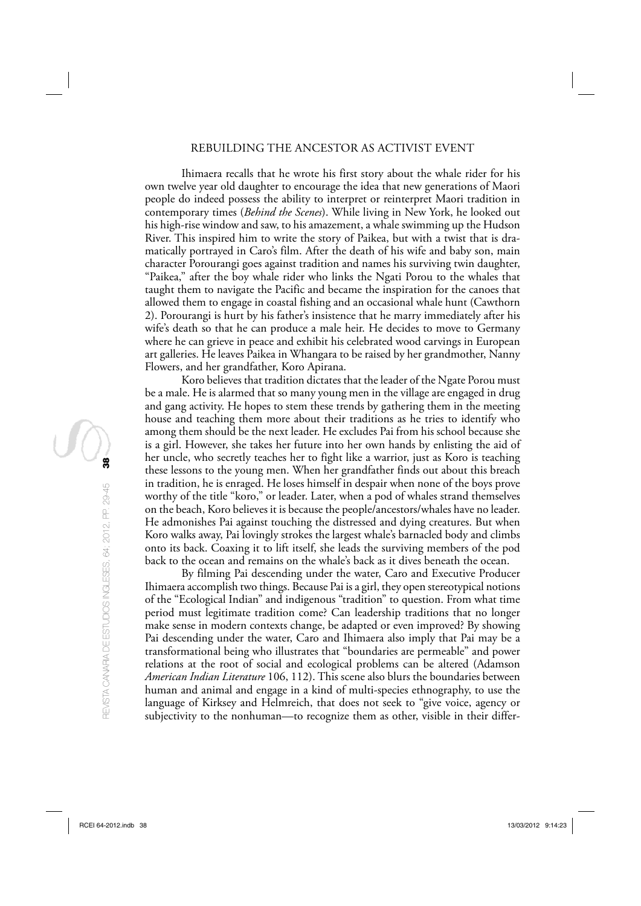#### REBUILDING THE ANCESTOR AS ACTIVIST EVENT

Ihimaera recalls that he wrote his first story about the whale rider for his own twelve year old daughter to encourage the idea that new generations of Maori people do indeed possess the ability to interpret or reinterpret Maori tradition in contemporary times (*Behind the Scenes*). While living in New York, he looked out his high-rise window and saw, to his amazement, a whale swimming up the Hudson River. This inspired him to write the story of Paikea, but with a twist that is dramatically portrayed in Caro's film. After the death of his wife and baby son, main character Porourangi goes against tradition and names his surviving twin daughter, "Paikea," after the boy whale rider who links the Ngati Porou to the whales that taught them to navigate the Pacific and became the inspiration for the canoes that allowed them to engage in coastal fishing and an occasional whale hunt (Cawthorn 2). Porourangi is hurt by his father's insistence that he marry immediately after his wife's death so that he can produce a male heir. He decides to move to Germany where he can grieve in peace and exhibit his celebrated wood carvings in European art galleries. He leaves Paikea in Whangara to be raised by her grandmother, Nanny Flowers, and her grandfather, Koro Apirana.

Koro believes that tradition dictates that the leader of the Ngate Porou must be a male. He is alarmed that so many young men in the village are engaged in drug and gang activity. He hopes to stem these trends by gathering them in the meeting house and teaching them more about their traditions as he tries to identify who among them should be the next leader. He excludes Pai from his school because she is a girl. However, she takes her future into her own hands by enlisting the aid of her uncle, who secretly teaches her to fight like a warrior, just as Koro is teaching these lessons to the young men. When her grandfather finds out about this breach in tradition, he is enraged. He loses himself in despair when none of the boys prove worthy of the title "koro," or leader. Later, when a pod of whales strand themselves on the beach, Koro believes it is because the people/ancestors/whales have no leader. He admonishes Pai against touching the distressed and dying creatures. But when Koro walks away, Pai lovingly strokes the largest whale's barnacled body and climbs onto its back. Coaxing it to lift itself, she leads the surviving members of the pod back to the ocean and remains on the whale's back as it dives beneath the ocean.

By filming Pai descending under the water, Caro and Executive Producer Ihimaera accomplish two things. Because Pai is a girl, they open stereotypical notions of the "Ecological Indian" and indigenous "tradition" to question. From what time period must legitimate tradition come? Can leadership traditions that no longer make sense in modern contexts change, be adapted or even improved? By showing Pai descending under the water, Caro and Ihimaera also imply that Pai may be a transformational being who illustrates that "boundaries are permeable" and power relations at the root of social and ecological problems can be altered (Adamson *American Indian Literature* 106, 112). This scene also blurs the boundaries between human and animal and engage in a kind of multi-species ethnography, to use the language of Kirksey and Helmreich, that does not seek to "give voice, agency or subjectivity to the nonhuman—to recognize them as other, visible in their differ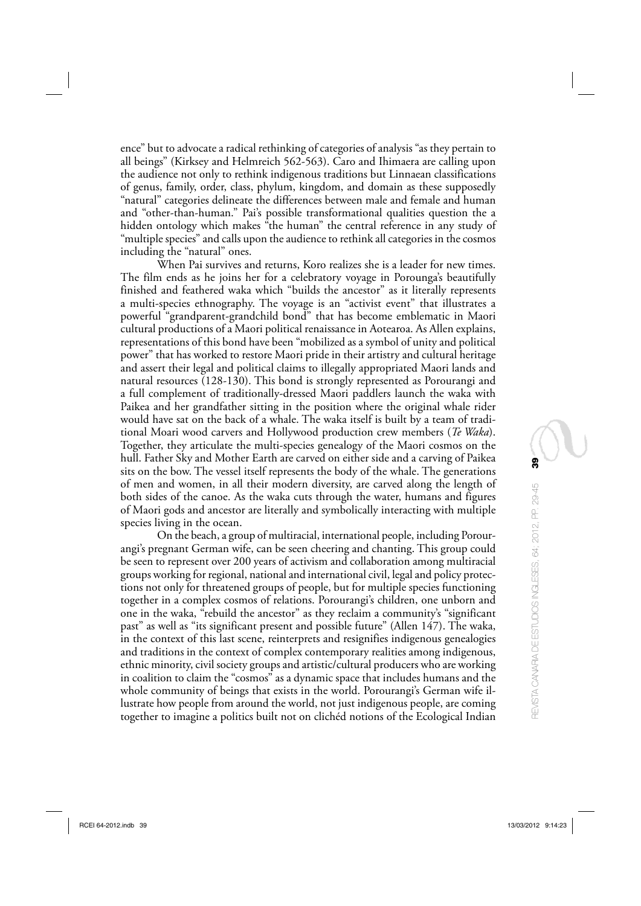ence" but to advocate a radical rethinking of categories of analysis "as they pertain to all beings" (Kirksey and Helmreich 562-563). Caro and Ihimaera are calling upon the audience not only to rethink indigenous traditions but Linnaean classifications of genus, family, order, class, phylum, kingdom, and domain as these supposedly "natural" categories delineate the differences between male and female and human and "other-than-human." Pai's possible transformational qualities question the a hidden ontology which makes "the human" the central reference in any study of "multiple species" and calls upon the audience to rethink all categories in the cosmos including the "natural" ones.

When Pai survives and returns, Koro realizes she is a leader for new times. The film ends as he joins her for a celebratory voyage in Porounga's beautifully finished and feathered waka which "builds the ancestor" as it literally represents a multi-species ethnography. The voyage is an "activist event" that illustrates a powerful "grandparent-grandchild bond" that has become emblematic in Maori cultural productions of a Maori political renaissance in Aotearoa. As Allen explains, representations of this bond have been "mobilized as a symbol of unity and political power" that has worked to restore Maori pride in their artistry and cultural heritage and assert their legal and political claims to illegally appropriated Maori lands and natural resources (128-130). This bond is strongly represented as Porourangi and a full complement of traditionally-dressed Maori paddlers launch the waka with Paikea and her grandfather sitting in the position where the original whale rider would have sat on the back of a whale. The waka itself is built by a team of traditional Moari wood carvers and Hollywood production crew members (*Te Waka*). Together, they articulate the multi-species genealogy of the Maori cosmos on the hull. Father Sky and Mother Earth are carved on either side and a carving of Paikea sits on the bow. The vessel itself represents the body of the whale. The generations of men and women, in all their modern diversity, are carved along the length of both sides of the canoe. As the waka cuts through the water, humans and figures of Maori gods and ancestor are literally and symbolically interacting with multiple species living in the ocean.

On the beach, a group of multiracial, international people, including Porourangi's pregnant German wife, can be seen cheering and chanting. This group could be seen to represent over 200 years of activism and collaboration among multiracial groups working for regional, national and international civil, legal and policy protections not only for threatened groups of people, but for multiple species functioning together in a complex cosmos of relations. Porourangi's children, one unborn and one in the waka, "rebuild the ancestor" as they reclaim a community's "significant past" as well as "its significant present and possible future" (Allen 147). The waka, in the context of this last scene, reinterprets and resignifies indigenous genealogies and traditions in the context of complex contemporary realities among indigenous, ethnic minority, civil society groups and artistic/cultural producers who are working in coalition to claim the "cosmos" as a dynamic space that includes humans and the whole community of beings that exists in the world. Porourangi's German wife illustrate how people from around the world, not just indigenous people, are coming together to imagine a politics built not on clichéd notions of the Ecological Indian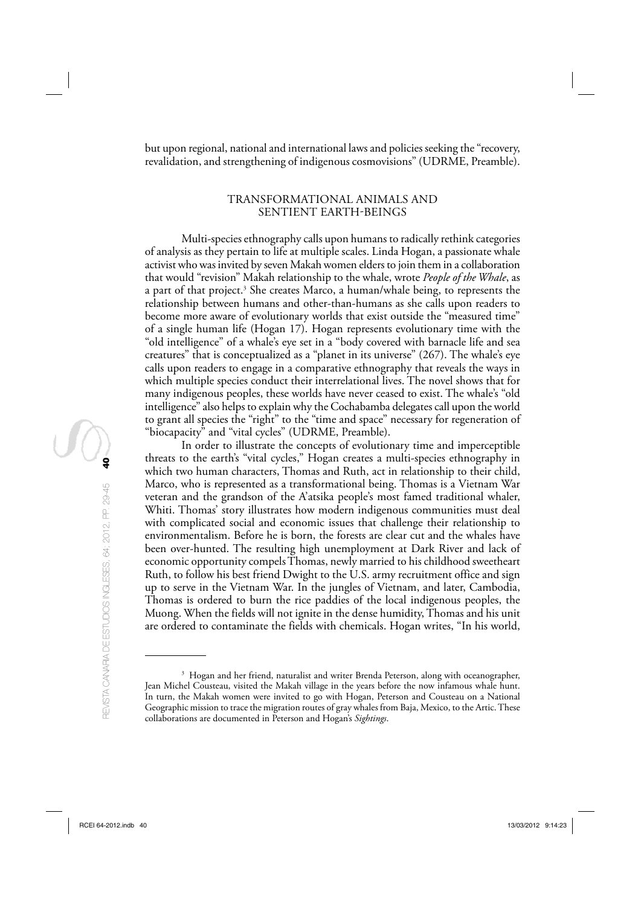but upon regional, national and international laws and policies seeking the "recovery, revalidation, and strengthening of indigenous cosmovisions" (UDRME, Preamble).

## TRANSFORMATIONAL ANIMALS AND SENTIENT EARTH-BEINGS

Multi-species ethnography calls upon humans to radically rethink categories of analysis as they pertain to life at multiple scales. Linda Hogan, a passionate whale activist who was invited by seven Makah women elders to join them in a collaboration that would "revision" Makah relationship to the whale, wrote *People of the Whale*, as a part of that project.<sup>3</sup> She creates Marco, a human/whale being, to represents the relationship between humans and other-than-humans as she calls upon readers to become more aware of evolutionary worlds that exist outside the "measured time" of a single human life (Hogan 17). Hogan represents evolutionary time with the "old intelligence" of a whale's eye set in a "body covered with barnacle life and sea creatures" that is conceptualized as a "planet in its universe" (267). The whale's eye calls upon readers to engage in a comparative ethnography that reveals the ways in which multiple species conduct their interrelational lives. The novel shows that for many indigenous peoples, these worlds have never ceased to exist. The whale's "old intelligence" also helps to explain why the Cochabamba delegates call upon the world to grant all species the "right" to the "time and space" necessary for regeneration of "biocapacity" and "vital cycles" (UDRME, Preamble).

In order to illustrate the concepts of evolutionary time and imperceptible threats to the earth's "vital cycles," Hogan creates a multi-species ethnography in which two human characters, Thomas and Ruth, act in relationship to their child, Marco, who is represented as a transformational being. Thomas is a Vietnam War veteran and the grandson of the A'atsika people's most famed traditional whaler, Whiti. Thomas' story illustrates how modern indigenous communities must deal with complicated social and economic issues that challenge their relationship to environmentalism. Before he is born, the forests are clear cut and the whales have been over-hunted. The resulting high unemployment at Dark River and lack of economic opportunity compels Thomas, newly married to his childhood sweetheart Ruth, to follow his best friend Dwight to the U.S. army recruitment office and sign up to serve in the Vietnam War. In the jungles of Vietnam, and later, Cambodia, Thomas is ordered to burn the rice paddies of the local indigenous peoples, the Muong. When the fields will not ignite in the dense humidity, Thomas and his unit are ordered to contaminate the fields with chemicals. Hogan writes, "In his world,

<sup>&</sup>lt;sup>3</sup> Hogan and her friend, naturalist and writer Brenda Peterson, along with oceanographer, Jean Michel Cousteau, visited the Makah village in the years before the now infamous whale hunt. In turn, the Makah women were invited to go with Hogan, Peterson and Cousteau on a National Geographic mission to trace the migration routes of gray whales from Baja, Mexico, to the Artic. These collaborations are documented in Peterson and Hogan's *Sightings* .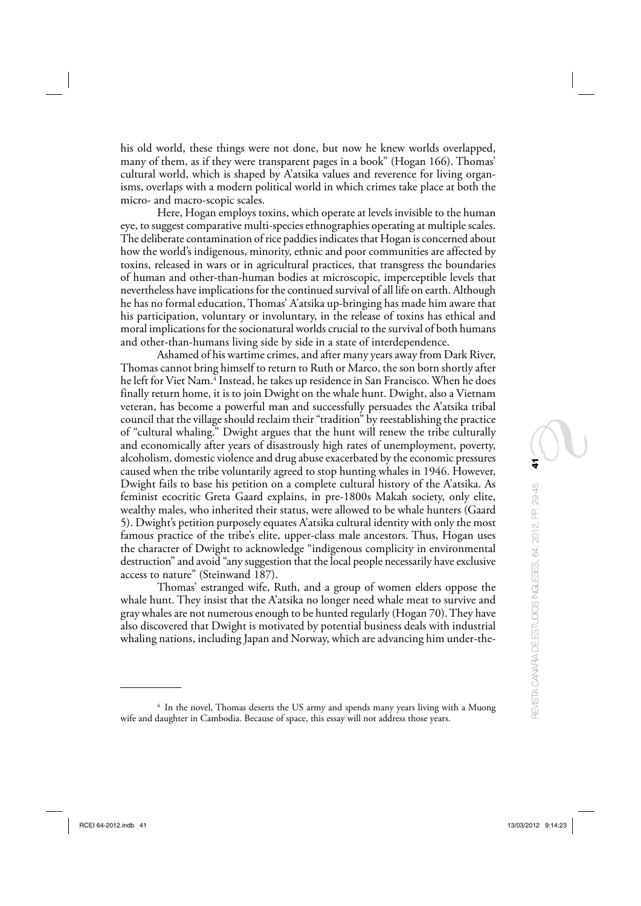his old world, these things were not done, but now he knew worlds overlapped, many of them, as if they were transparent pages in a book" (Hogan 166). Thomas' cultural world, which is shaped by A'atsika values and reverence for living organisms, overlaps with a modern political world in which crimes take place at both the micro- and macro-scopic scales.

Here, Hogan employs toxins, which operate at levels invisible to the human eye, to suggest comparative multi-species ethnographies operating at multiple scales. The deliberate contamination of rice paddies indicates that Hogan is concerned about how the world's indigenous, minority, ethnic and poor communities are affected by toxins, released in wars or in agricultural practices, that transgress the boundaries of human and other-than-human bodies at microscopic, imperceptible levels that nevertheless have implications for the continued survival of all life on earth. Although he has no formal education, Thomas' A'atsika up-bringing has made him aware that his participation, voluntary or involuntary, in the release of toxins has ethical and moral implications for the socionatural worlds crucial to the survival of both humans and other-than-humans living side by side in a state of interdependence.

Ashamed of his wartime crimes, and after many years away from Dark River, Thomas cannot bring himself to return to Ruth or Marco, the son born shortly after he left for Viet Nam.4 Instead, he takes up residence in San Francisco. When he does finally return home, it is to join Dwight on the whale hunt. Dwight, also a Vietnam veteran, has become a powerful man and successfully persuades the A'atsika tribal council that the village should reclaim their "tradition" by reestablishing the practice of "cultural whaling." Dwight argues that the hunt will renew the tribe culturally and economically after years of disastrously high rates of unemployment, poverty, alcoholism, domestic violence and drug abuse exacerbated by the economic pressures caused when the tribe voluntarily agreed to stop hunting whales in 1946. However, Dwight fails to base his petition on a complete cultural history of the A'atsika. As feminist ecocritic Greta Gaard explains, in pre-1800s Makah society, only elite, wealthy males, who inherited their status, were allowed to be whale hunters (Gaard 5). Dwight's petition purposely equates A'atsika cultural identity with only the most famous practice of the tribe's elite, upper-class male ancestors. Thus, Hogan uses the character of Dwight to acknowledge "indigenous complicity in environmental destruction" and avoid "any suggestion that the local people necessarily have exclusive access to nature" (Steinwand 187).

Thomas' estranged wife, Ruth, and a group of women elders oppose the whale hunt. They insist that the A'atsika no longer need whale meat to survive and gray whales are not numerous enough to be hunted regularly (Hogan 70). They have also discovered that Dwight is motivated by potential business deals with industrial whaling nations, including Japan and Norway, which are advancing him under-the-

<sup>&</sup>lt;sup>4</sup> In the novel, Thomas deserts the US army and spends many years living with a Muong wife and daughter in Cambodia. Because of space, this essay will not address those years.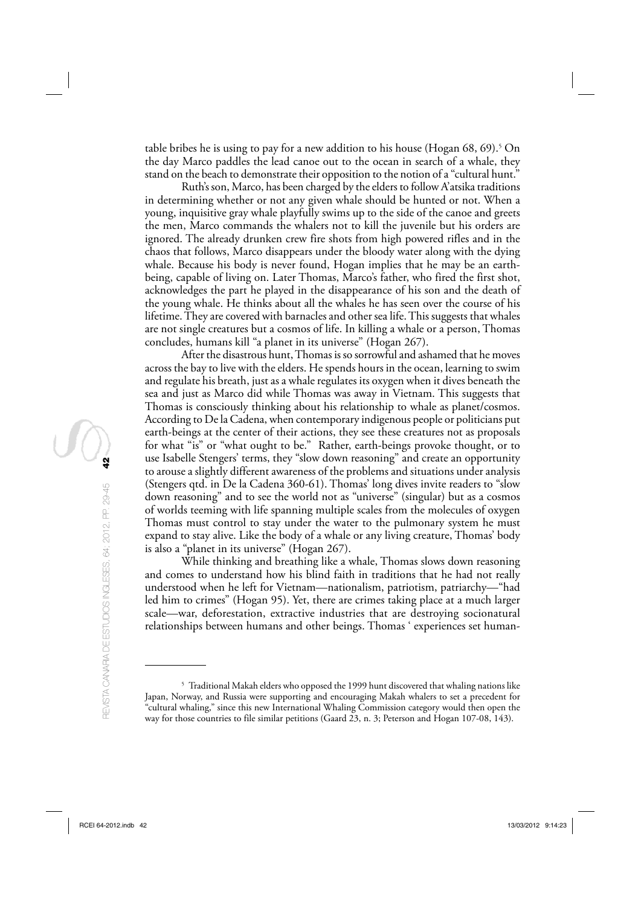table bribes he is using to pay for a new addition to his house (Hogan 68, 69). 5 On the day Marco paddles the lead canoe out to the ocean in search of a whale, they stand on the beach to demonstrate their opposition to the notion of a "cultural hunt."

Ruth's son, Marco, has been charged by the elders to follow A'atsika traditions in determining whether or not any given whale should be hunted or not. When a young, inquisitive gray whale playfully swims up to the side of the canoe and greets the men, Marco commands the whalers not to kill the juvenile but his orders are ignored. The already drunken crew fire shots from high powered rifles and in the chaos that follows, Marco disappears under the bloody water along with the dying whale. Because his body is never found, Hogan implies that he may be an earthbeing, capable of living on. Later Thomas, Marco's father, who fired the first shot, acknowledges the part he played in the disappearance of his son and the death of the young whale. He thinks about all the whales he has seen over the course of his lifetime. They are covered with barnacles and other sea life. This suggests that whales are not single creatures but a cosmos of life. In killing a whale or a person, Thomas concludes, humans kill "a planet in its universe" (Hogan 267).

After the disastrous hunt, Thomas is so sorrowful and ashamed that he moves across the bay to live with the elders. He spends hours in the ocean, learning to swim and regulate his breath, just as a whale regulates its oxygen when it dives beneath the sea and just as Marco did while Thomas was away in Vietnam. This suggests that Thomas is consciously thinking about his relationship to whale as planet/cosmos. According to De la Cadena, when contemporary indigenous people or politicians put earth-beings at the center of their actions, they see these creatures not as proposals for what "is" or "what ought to be." Rather, earth-beings provoke thought, or to use Isabelle Stengers' terms, they "slow down reasoning" and create an opportunity to arouse a slightly different awareness of the problems and situations under analysis (Stengers qtd. in De la Cadena 360-61). Thomas' long dives invite readers to "slow down reasoning" and to see the world not as "universe" (singular) but as a cosmos of worlds teeming with life spanning multiple scales from the molecules of oxygen Thomas must control to stay under the water to the pulmonary system he must expand to stay alive. Like the body of a whale or any living creature, Thomas' body is also a "planet in its universe" (Hogan 267).

While thinking and breathing like a whale, Thomas slows down reasoning and comes to understand how his blind faith in traditions that he had not really understood when he left for Vietnam—nationalism, patriotism, patriarchy—"had led him to crimes" (Hogan 95). Yet, there are crimes taking place at a much larger scale—war, deforestation, extractive industries that are destroying socionatural relationships between humans and other beings. Thomas ' experiences set human-

<sup>5</sup> Traditional Makah elders who opposed the 1999 hunt discovered that whaling nations like Japan, Norway, and Russia were supporting and encouraging Makah whalers to set a precedent for "cultural whaling," since this new International Whaling Commission category would then open the way for those countries to file similar petitions (Gaard 23, n. 3; Peterson and Hogan 107-08, 143).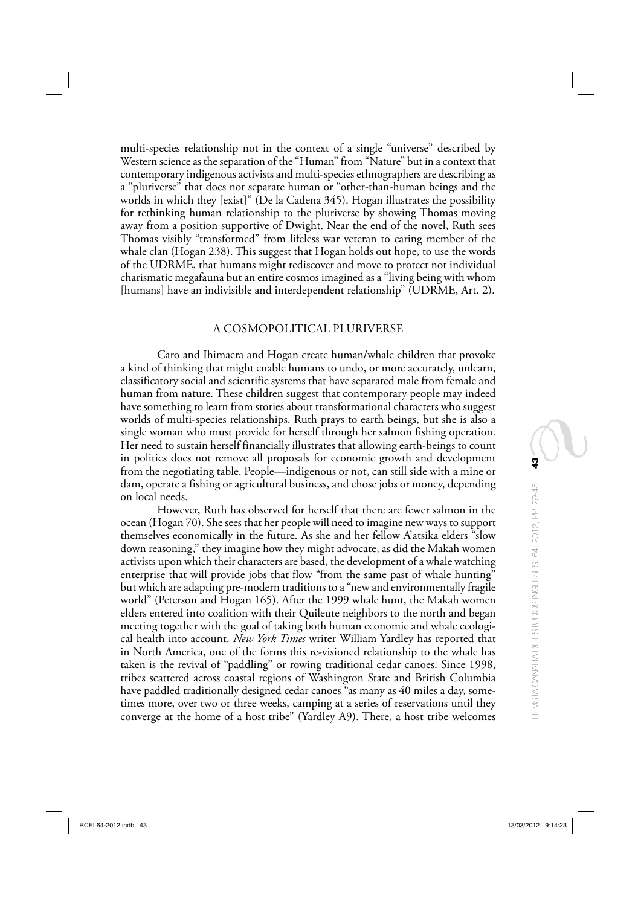multi-species relationship not in the context of a single "universe" described by Western science as the separation of the "Human" from "Nature" but in a context that contemporary indigenous activists and multi-species ethnographers are describing as a "pluriverse" that does not separate human or "other-than-human beings and the worlds in which they [exist]" (De la Cadena 345). Hogan illustrates the possibility for rethinking human relationship to the pluriverse by showing Thomas moving away from a position supportive of Dwight. Near the end of the novel, Ruth sees Thomas visibly "transformed" from lifeless war veteran to caring member of the whale clan (Hogan 238). This suggest that Hogan holds out hope, to use the words of the UDRME, that humans might rediscover and move to protect not individual charismatic megafauna but an entire cosmos imagined as a "living being with whom [humans] have an indivisible and interdependent relationship" (UDRME, Art. 2).

#### A COSMOPOLITICAL PLURIVERSE

Caro and Ihimaera and Hogan create human/whale children that provoke a kind of thinking that might enable humans to undo, or more accurately, unlearn, classificatory social and scientific systems that have separated male from female and human from nature. These children suggest that contemporary people may indeed have something to learn from stories about transformational characters who suggest worlds of multi-species relationships. Ruth prays to earth beings, but she is also a single woman who must provide for herself through her salmon fishing operation. Her need to sustain herself financially illustrates that allowing earth-beings to count in politics does not remove all proposals for economic growth and development from the negotiating table. People—indigenous or not, can still side with a mine or dam, operate a fishing or agricultural business, and chose jobs or money, depending on local needs.

However, Ruth has observed for herself that there are fewer salmon in the ocean (Hogan 70). She sees that her people will need to imagine new ways to support themselves economically in the future. As she and her fellow A'atsika elders "slow down reasoning," they imagine how they might advocate, as did the Makah women activists upon which their characters are based, the development of a whale watching enterprise that will provide jobs that flow "from the same past of whale hunting" but which are adapting pre-modern traditions to a "new and environmentally fragile world" (Peterson and Hogan 165). After the 1999 whale hunt, the Makah women elders entered into coalition with their Quileute neighbors to the north and began meeting together with the goal of taking both human economic and whale ecological health into account. *New York Times* writer William Yardley has reported that in North America, one of the forms this re-visioned relationship to the whale has taken is the revival of "paddling" or rowing traditional cedar canoes. Since 1998, tribes scattered across coastal regions of Washington State and British Columbia have paddled traditionally designed cedar canoes "as many as 40 miles a day, sometimes more, over two or three weeks, camping at a series of reservations until they converge at the home of a host tribe" (Yardley A9). There, a host tribe welcomes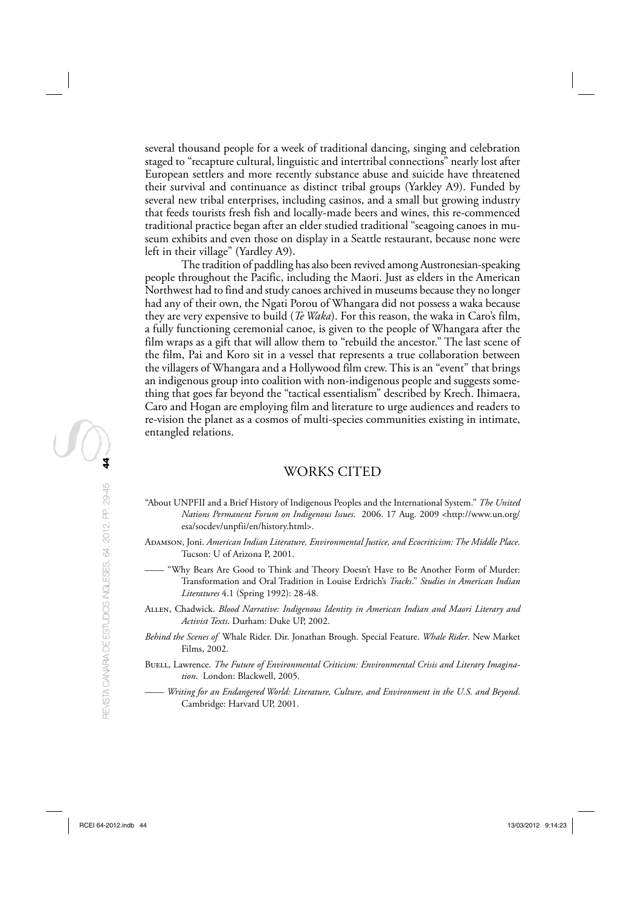several thousand people for a week of traditional dancing, singing and celebration staged to "recapture cultural, linguistic and intertribal connections" nearly lost after European settlers and more recently substance abuse and suicide have threatened their survival and continuance as distinct tribal groups (Yarkley A9). Funded by several new tribal enterprises, including casinos, and a small but growing industry that feeds tourists fresh fish and locally-made beers and wines, this re-commenced traditional practice began after an elder studied traditional "seagoing canoes in museum exhibits and even those on display in a Seattle restaurant, because none were left in their village" (Yardley A9).

The tradition of paddling has also been revived among Austronesian-speaking people throughout the Pacific, including the Maori. Just as elders in the American Northwest had to find and study canoes archived in museums because they no longer had any of their own, the Ngati Porou of Whangara did not possess a waka because they are very expensive to build (*Te Waka*). For this reason, the waka in Caro's film, a fully functioning ceremonial canoe, is given to the people of Whangara after the film wraps as a gift that will allow them to "rebuild the ancestor." The last scene of the film, Pai and Koro sit in a vessel that represents a true collaboration between the villagers of Whangara and a Hollywood film crew. This is an "event" that brings an indigenous group into coalition with non-indigenous people and suggests something that goes far beyond the "tactical essentialism" described by Krech. Ihimaera, Caro and Hogan are employing film and literature to urge audiences and readers to re-vision the planet as a cosmos of multi-species communities existing in intimate, entangled relations.

# WORKS CITED

- "About UNPFII and a Brief History of Indigenous Peoples and the International System." *The United Nations Permanent Forum on Indigenous Issues*. 2006. 17 Aug. 2009 <http://www.un.org/ esa/socdev/unpfii/en/history.html>.
- Adamson, Joni. *American Indian Literature, Environmental Justice, and Ecocriticism: The Middle Place*. Tucson: U of Arizona P, 2001.
	- —— "Why Bears Are Good to Think and Theory Doesn't Have to Be Another Form of Murder: Transformation and Oral Tradition in Louise Erdrich's *Tracks*." *Studies in American Indian Literatures* 4.1 (Spring 1992): 28-48.
- Allen, Chadwick. *Blood Narrative: Indigenous Identity in American Indian and Maori Literary and Activist Texts* . Durham: Duke UP, 2002.
- *Behind the Scenes of* Whale Rider. Dir. Jonathan Brough. Special Feature. *Whale Rider* . New Market Films, 2002.
- Buell, Lawrence. *The Future of Environmental Criticism: Environmental Crisis and Literary Imagination*. London: Blackwell, 2005.
- —— *Writing for an Endangered World: Literature, Culture, and Environment in the U.S. and Beyond*. Cambridge: Harvard UP, 2001.